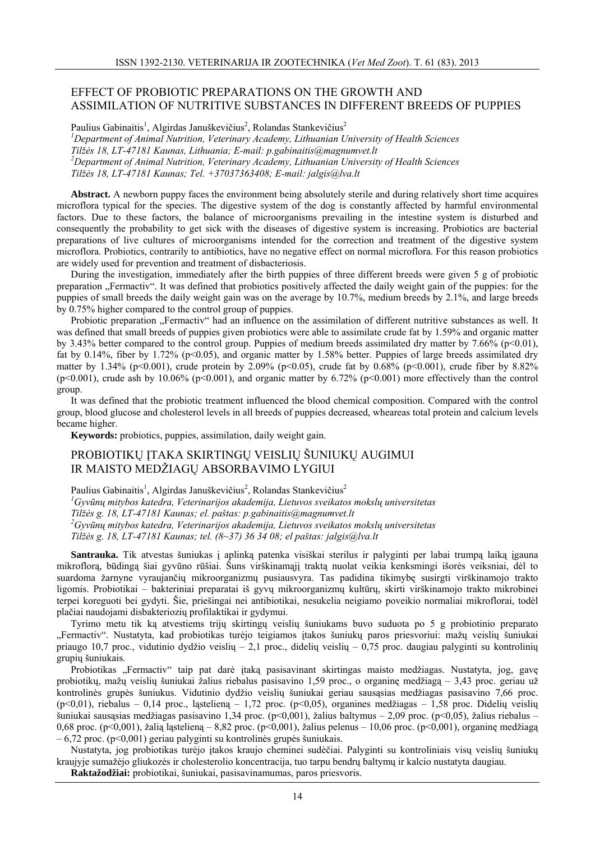# EFFECT OF PROBIOTIC PREPARATIONS ON THE GROWTH AND ASSIMILATION OF NUTRITIVE SUBSTANCES IN DIFFERENT BREEDS OF PUPPIES

Paulius Gabinaitis<sup>1</sup>, Algirdas Januškevičius<sup>2</sup>, Rolandas Stankevičius<sup>2</sup> *1 Department of Animal Nutrition, Veterinary Academy, Lithuanian University of Health Sciences Tilžės 18, LT-47181 Kaunas, Lithuania; E-mail: p.gabinaitis@magnumvet.lt 2 Department of Animal Nutrition, Veterinary Academy, Lithuanian University of Health Sciences Tilžės 18, LT-47181 Kaunas; Tel. +37037363408; E-mail: jalgis@lva.lt* 

**Abstract.** A newborn puppy faces the environment being absolutely sterile and during relatively short time acquires microflora typical for the species. The digestive system of the dog is constantly affected by harmful environmental factors. Due to these factors, the balance of microorganisms prevailing in the intestine system is disturbed and consequently the probability to get sick with the diseases of digestive system is increasing. Probiotics are bacterial preparations of live cultures of microorganisms intended for the correction and treatment of the digestive system microflora. Probiotics, contrarily to antibiotics, have no negative effect on normal microflora. For this reason probiotics are widely used for prevention and treatment of disbacteriosis.

During the investigation, immediately after the birth puppies of three different breeds were given 5 g of probiotic preparation "Fermactiv". It was defined that probiotics positively affected the daily weight gain of the puppies: for the puppies of small breeds the daily weight gain was on the average by 10.7%, medium breeds by 2.1%, and large breeds by 0.75% higher compared to the control group of puppies.

Probiotic preparation "Fermactiv" had an influence on the assimilation of different nutritive substances as well. It was defined that small breeds of puppies given probiotics were able to assimilate crude fat by 1.59% and organic matter by 3.43% better compared to the control group. Puppies of medium breeds assimilated dry matter by 7.66% (p<0.01), fat by 0.14%, fiber by 1.72% (p<0.05), and organic matter by 1.58% better. Puppies of large breeds assimilated dry matter by 1.34% (p<0.001), crude protein by 2.09% (p<0.05), crude fat by 0.68% (p<0.001), crude fiber by 8.82%  $(p<0.001)$ , crude ash by 10.06% (p $< 0.001$ ), and organic matter by 6.72% (p $< 0.001$ ) more effectively than the control group.

It was defined that the probiotic treatment influenced the blood chemical composition. Compared with the control group, blood glucose and cholesterol levels in all breeds of puppies decreased, wheareas total protein and calcium levels became higher.

**Keywords:** probiotics, puppies, assimilation, daily weight gain.

# PROBIOTIKŲ ĮTAKA SKIRTINGŲ VEISLIŲ ŠUNIUKŲ AUGIMUI IR MAISTO MEDŽIAGŲ ABSORBAVIMO LYGIUI

Paulius Gabinaitis<sup>1</sup>, Algirdas Januškevičius<sup>2</sup>, Rolandas Stankevičius<sup>2</sup> *1 Gyvūnų mitybos katedra, Veterinarijos akademija, Lietuvos sveikatos mokslų universitetas Tilžės g. 18, LT-47181 Kaunas; el. paštas: p.gabinaitis@magnumvet.lt 2 Gyvūnų mitybos katedra, Veterinarijos akademija, Lietuvos sveikatos mokslų universitetas Tilžės g. 18, LT-47181 Kaunas; tel. (8~37) 36 34 08; el paštas: jalgis@lva.lt*

**Santrauka.** Tik atvestas šuniukas į aplinką patenka visiškai sterilus ir palyginti per labai trumpą laiką įgauna mikroflorą, būdingą šiai gyvūno rūšiai. Šuns virškinamąjį traktą nuolat veikia kenksmingi išorės veiksniai, dėl to suardoma žarnyne vyraujančių mikroorganizmų pusiausvyra. Tas padidina tikimybę susirgti virškinamojo trakto ligomis. Probiotikai – bakteriniai preparatai iš gyvų mikroorganizmų kultūrų, skirti virškinamojo trakto mikrobinei terpei koreguoti bei gydyti. Šie, priešingai nei antibiotikai, nesukelia neigiamo poveikio normaliai mikroflorai, todėl plačiai naudojami disbakteriozių profilaktikai ir gydymui.

Tyrimo metu tik ką atvestiems trijų skirtingų veislių šuniukams buvo suduota po 5 g probiotinio preparato "Fermactiv". Nustatyta, kad probiotikas turėjo teigiamos įtakos šuniukų paros priesvoriui: mažų veislių šuniukai priaugo 10,7 proc., vidutinio dydžio veislių – 2,1 proc., didelių veislių – 0,75 proc. daugiau palyginti su kontrolinių grupių šuniukais.

Probiotikas "Fermactiv" taip pat darė įtaką pasisavinant skirtingas maisto medžiagas. Nustatyta, jog, gavę probiotikų, mažų veislių šuniukai žalius riebalus pasisavino 1,59 proc., o organinę medžiagą – 3,43 proc. geriau už kontrolinės grupės šuniukus. Vidutinio dydžio veislių šuniukai geriau sausąsias medžiagas pasisavino 7,66 proc. (p<0,01), riebalus – 0,14 proc., ląstelieną – 1,72 proc. (p<0,05), organines medžiagas – 1,58 proc. Didelių veislių šuniukai sausąsias medžiagas pasisavino 1,34 proc. (p<0,001), žalius baltymus – 2,09 proc. (p<0,05), žalius riebalus – 0,68 proc. (p<0,001), žalią ląstelieną – 8,82 proc. (p<0,001), žalius pelenus – 10,06 proc. (p<0,001), organinę medžiagą  $-6,72$  proc. (p<0,001) geriau palyginti su kontrolinės grupės šuniukais.

Nustatyta, jog probiotikas turėjo įtakos kraujo cheminei sudėčiai. Palyginti su kontroliniais visų veislių šuniukų kraujyje sumažėjo gliukozės ir cholesterolio koncentracija, tuo tarpu bendrų baltymų ir kalcio nustatyta daugiau.

**Raktažodžiai:** probiotikai, šuniukai, pasisavinamumas, paros priesvoris.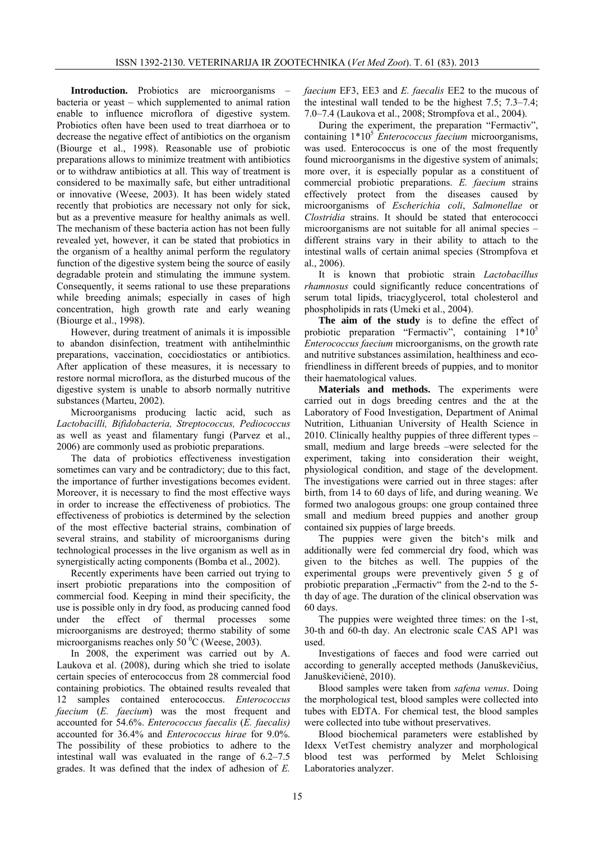**Introduction.** Probiotics are microorganisms – bacteria or yeast – which supplemented to animal ration enable to influence microflora of digestive system. Probiotics often have been used to treat diarrhoea or to decrease the negative effect of antibiotics on the organism (Biourge et al., 1998). Reasonable use of probiotic preparations allows to minimize treatment with antibiotics or to withdraw antibiotics at all. This way of treatment is considered to be maximally safe, but either untraditional or innovative (Weese, 2003). It has been widely stated recently that probiotics are necessary not only for sick, but as a preventive measure for healthy animals as well. The mechanism of these bacteria action has not been fully revealed yet, however, it can be stated that probiotics in the organism of a healthy animal perform the regulatory function of the digestive system being the source of easily degradable protein and stimulating the immune system. Consequently, it seems rational to use these preparations while breeding animals; especially in cases of high concentration, high growth rate and early weaning (Biourge et al., 1998).

However, during treatment of animals it is impossible to abandon disinfection, treatment with antihelminthic preparations, vaccination, coccidiostatics or antibiotics. After application of these measures, it is necessary to restore normal microflora, as the disturbed mucous of the digestive system is unable to absorb normally nutritive substances (Marteu, 2002).

Microorganisms producing lactic acid, such as *Lactobacilli, Bifidobacteria, Streptococcus, Pediococcus*  as well as yeast and filamentary fungi (Parvez et al., 2006) are commonly used as probiotic preparations.

The data of probiotics effectiveness investigation sometimes can vary and be contradictory; due to this fact, the importance of further investigations becomes evident. Moreover, it is necessary to find the most effective ways in order to increase the effectiveness of probiotics. The effectiveness of probiotics is determined by the selection of the most effective bacterial strains, combination of several strains, and stability of microorganisms during technological processes in the live organism as well as in synergistically acting components (Bomba et al., 2002).

Recently experiments have been carried out trying to insert probiotic preparations into the composition of commercial food. Keeping in mind their specificity, the use is possible only in dry food, as producing canned food under the effect of thermal processes some microorganisms are destroyed; thermo stability of some microorganisms reaches only 50 $\mathrm{^0C}$  (Weese, 2003).

In 2008, the experiment was carried out by A. Laukova et al. (2008), during which she tried to isolate certain species of enterococcus from 28 commercial food containing probiotics. The obtained results revealed that 12 samples contained enterococcus. *Enterococcus faecium* (*E. faecium*) was the most frequent and accounted for 54.6%. *Enterococcus faecalis* (*E. faecalis)*  accounted for 36.4% and *Enterococcus hirae* for 9.0%. The possibility of these probiotics to adhere to the intestinal wall was evaluated in the range of 6.2–7.5 grades. It was defined that the index of adhesion of *E.* 

*faecium* EF3, EE3 and *E. faecalis* EE2 to the mucous of the intestinal wall tended to be the highest 7.5; 7.3–7.4; 7.0–7.4 (Laukova et al., 2008; Strompfova et al., 2004).

During the experiment, the preparation "Fermactiv", containing 1\*10<sup>5</sup> *Enterococcus faecium* microorganisms, was used. Enterococcus is one of the most frequently found microorganisms in the digestive system of animals; more over, it is especially popular as a constituent of commercial probiotic preparations. *E. faecium* strains effectively protect from the diseases caused by microorganisms of *Escherichia coli*, *Salmonellae* or *Clostridia* strains. It should be stated that enterococci microorganisms are not suitable for all animal species – different strains vary in their ability to attach to the intestinal walls of certain animal species (Strompfova et al., 2006).

It is known that probiotic strain *Lactobacillus rhamnosus* could significantly reduce concentrations of serum total lipids, triacyglycerol, total cholesterol and phospholipids in rats (Umeki et al., 2004).

**The aim of the study** is to define the effect of probiotic preparation "Fermactiv", containing  $1*10^5$ *Enterococcus faecium* microorganisms, on the growth rate and nutritive substances assimilation, healthiness and ecofriendliness in different breeds of puppies, and to monitor their haematological values.

**Materials and methods.** The experiments were carried out in dogs breeding centres and the at the Laboratory of Food Investigation, Department of Animal Nutrition, Lithuanian University of Health Science in 2010. Clinically healthy puppies of three different types – small, medium and large breeds –were selected for the experiment, taking into consideration their weight, physiological condition, and stage of the development. The investigations were carried out in three stages: after birth, from 14 to 60 days of life, and during weaning. We formed two analogous groups: one group contained three small and medium breed puppies and another group contained six puppies of large breeds.

The puppies were given the bitch's milk and additionally were fed commercial dry food, which was given to the bitches as well. The puppies of the experimental groups were preventively given 5 g of probiotic preparation "Fermactiv" from the 2-nd to the 5th day of age. The duration of the clinical observation was 60 days.

The puppies were weighted three times: on the 1-st, 30-th and 60-th day. An electronic scale CAS AP1 was used.

Investigations of faeces and food were carried out according to generally accepted methods (Januškevičius, Januškevičienė, 2010).

Blood samples were taken from *safena venus*. Doing the morphological test, blood samples were collected into tubes with EDTA. For chemical test, the blood samples were collected into tube without preservatives.

Blood biochemical parameters were established by Idexx VetTest chemistry analyzer and morphological blood test was performed by Melet Schloising Laboratories analyzer.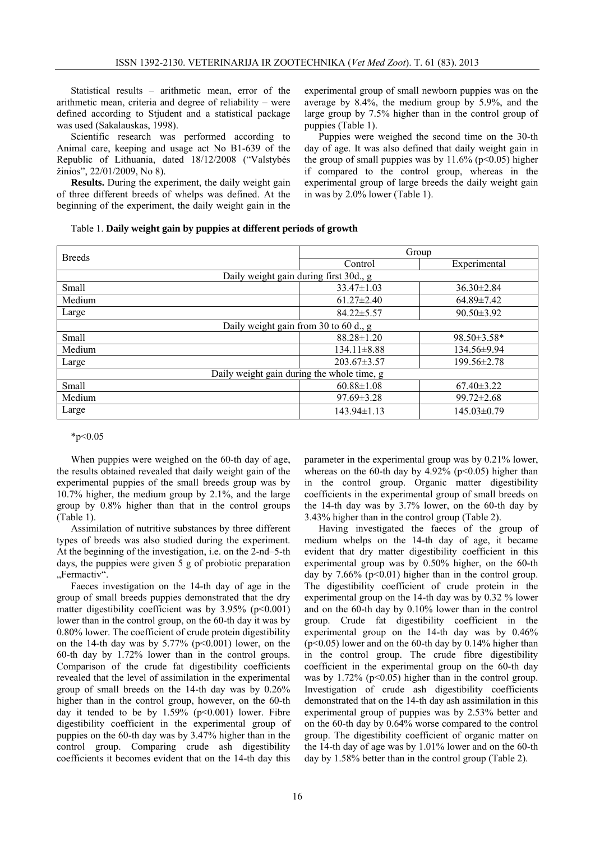Statistical results – arithmetic mean, error of the arithmetic mean, criteria and degree of reliability – were defined according to Stjudent and a statistical package was used (Sakalauskas, 1998).

Scientific research was performed according to Animal care, keeping and usage act No B1-639 of the Republic of Lithuania, dated 18/12/2008 ("Valstybės žinios", 22/01/2009, No 8).

**Results.** During the experiment, the daily weight gain of three different breeds of whelps was defined. At the beginning of the experiment, the daily weight gain in the experimental group of small newborn puppies was on the average by 8.4%, the medium group by 5.9%, and the large group by 7.5% higher than in the control group of puppies (Table 1).

Puppies were weighed the second time on the 30-th day of age. It was also defined that daily weight gain in the group of small puppies was by  $11.6\%$  (p<0.05) higher if compared to the control group, whereas in the experimental group of large breeds the daily weight gain in was by 2.0% lower (Table 1).

|  |  |  |  |  | Table 1. Daily weight gain by puppies at different periods of growth |  |  |  |
|--|--|--|--|--|----------------------------------------------------------------------|--|--|--|
|--|--|--|--|--|----------------------------------------------------------------------|--|--|--|

| <b>Breeds</b>                              | Group             |                    |  |  |  |
|--------------------------------------------|-------------------|--------------------|--|--|--|
|                                            | Control           | Experimental       |  |  |  |
| Daily weight gain during first 30d., g     |                   |                    |  |  |  |
| Small                                      | $33.47 \pm 1.03$  | $36.30 \pm 2.84$   |  |  |  |
| Medium                                     | $61.27 \pm 2.40$  | 64.89±7.42         |  |  |  |
| Large                                      | $84.22 \pm 5.57$  | $90.50 \pm 3.92$   |  |  |  |
| Daily weight gain from 30 to 60 d., g      |                   |                    |  |  |  |
| Small                                      | $88.28 \pm 1.20$  | $98.50 \pm 3.58$ * |  |  |  |
| Medium                                     | $134.11 \pm 8.88$ | 134.56±9.94        |  |  |  |
| Large                                      | $203.67 \pm 3.57$ | 199.56±2.78        |  |  |  |
| Daily weight gain during the whole time, g |                   |                    |  |  |  |
| Small                                      | $60.88 \pm 1.08$  | $67.40 \pm 3.22$   |  |  |  |
| Medium                                     | $97.69 \pm 3.28$  | $99.72 \pm 2.68$   |  |  |  |
| Large                                      | $143.94 \pm 1.13$ | $145.03\pm0.79$    |  |  |  |

#### $*p<0.05$

When puppies were weighed on the 60-th day of age, the results obtained revealed that daily weight gain of the experimental puppies of the small breeds group was by 10.7% higher, the medium group by 2.1%, and the large group by 0.8% higher than that in the control groups (Table 1).

Assimilation of nutritive substances by three different types of breeds was also studied during the experiment. At the beginning of the investigation, i.e. on the 2-nd–5-th days, the puppies were given 5 g of probiotic preparation .,Fermactiv".

Faeces investigation on the 14-th day of age in the group of small breeds puppies demonstrated that the dry matter digestibility coefficient was by  $3.95\%$  (p<0.001) lower than in the control group, on the 60-th day it was by 0.80% lower. The coefficient of crude protein digestibility on the 14-th day was by  $5.77\%$  (p<0.001) lower, on the 60-th day by 1.72% lower than in the control groups. Comparison of the crude fat digestibility coefficients revealed that the level of assimilation in the experimental group of small breeds on the 14-th day was by 0.26% higher than in the control group, however, on the 60-th day it tended to be by  $1.59\%$  (p<0.001) lower. Fibre digestibility coefficient in the experimental group of puppies on the 60-th day was by 3.47% higher than in the control group. Comparing crude ash digestibility coefficients it becomes evident that on the 14-th day this

parameter in the experimental group was by 0.21% lower, whereas on the 60-th day by  $4.92\%$  (p<0.05) higher than in the control group. Organic matter digestibility coefficients in the experimental group of small breeds on the 14-th day was by 3.7% lower, on the 60-th day by 3.43% higher than in the control group (Table 2).

Having investigated the faeces of the group of medium whelps on the 14-th day of age, it became evident that dry matter digestibility coefficient in this experimental group was by 0.50% higher, on the 60-th day by 7.66% ( $p \le 0.01$ ) higher than in the control group. The digestibility coefficient of crude protein in the experimental group on the 14-th day was by 0.32 % lower and on the 60-th day by 0.10% lower than in the control group. Crude fat digestibility coefficient in the experimental group on the 14-th day was by 0.46%  $(p<0.05)$  lower and on the 60-th day by 0.14% higher than in the control group. The crude fibre digestibility coefficient in the experimental group on the 60-th day was by 1.72% ( $p<0.05$ ) higher than in the control group. Investigation of crude ash digestibility coefficients demonstrated that on the 14-th day ash assimilation in this experimental group of puppies was by 2.53% better and on the 60-th day by 0.64% worse compared to the control group. The digestibility coefficient of organic matter on the 14-th day of age was by 1.01% lower and on the 60-th day by 1.58% better than in the control group (Table 2).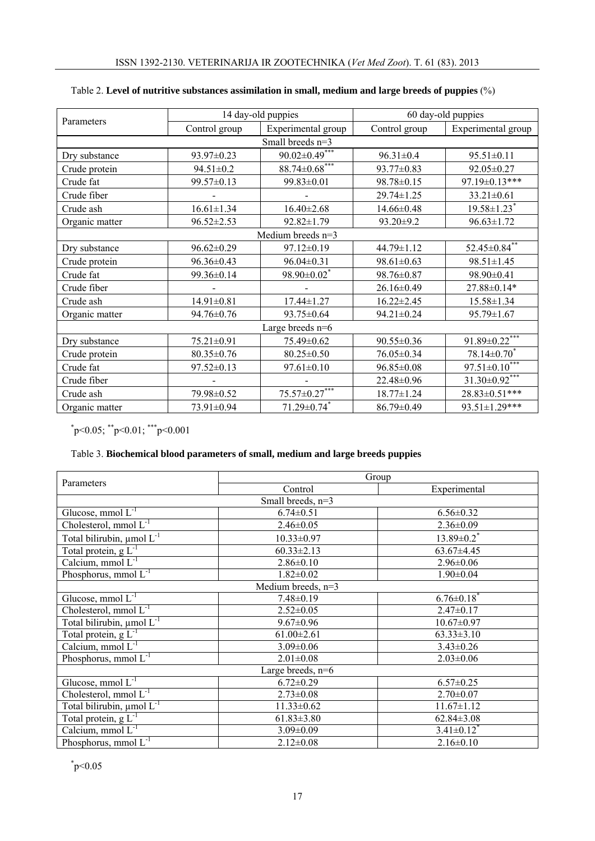|                    |                  | 14 day-old puppies            | 60 day-old puppies |                                      |  |  |
|--------------------|------------------|-------------------------------|--------------------|--------------------------------------|--|--|
| Parameters         | Control group    | Experimental group            | Control group      | Experimental group                   |  |  |
| Small breeds n=3   |                  |                               |                    |                                      |  |  |
| Dry substance      | 93.97±0.23       | $90.02 \pm 0.49$ ***          | $96.31 \pm 0.4$    | 95.51±0.11                           |  |  |
| Crude protein      | $94.51 \pm 0.2$  | $88.74 \pm 0.68$ ***          | $93.77 \pm 0.83$   | 92.05±0.27                           |  |  |
| Crude fat          | 99.57±0.13       | 99.83±0.01                    | 98.78±0.15         | 97.19±0.13***                        |  |  |
| Crude fiber        |                  |                               | 29.74±1.25         | 33.21±0.61                           |  |  |
| Crude ash          | $16.61 \pm 1.34$ | $16.40 \pm 2.68$              | 14.66±0.48         | $19.58 \pm 1.23$ <sup>*</sup>        |  |  |
| Organic matter     | $96.52 \pm 2.53$ | $92.82 \pm 1.79$              | 93.20±9.2          | $96.63 \pm 1.72$                     |  |  |
|                    |                  | Medium breeds $n=3$           |                    |                                      |  |  |
| Dry substance      | 96.62±0.29       | 97.12±0.19                    | 44.79±1.12         | $52.45 \pm 0.84$ **                  |  |  |
| Crude protein      | 96.36±0.43       | $96.04 \pm 0.31$              | $98.61 \pm 0.63$   | $98.51 \pm 1.45$                     |  |  |
| Crude fat          | 99.36±0.14       | $98.90 \pm 0.02$ <sup>*</sup> | 98.76±0.87         | 98.90±0.41                           |  |  |
| Crude fiber        |                  |                               | $26.16 \pm 0.49$   | 27.88±0.14*                          |  |  |
| Crude ash          | $14.91 \pm 0.81$ | $17.44 \pm 1.27$              | $16.22 \pm 2.45$   | 15.58±1.34                           |  |  |
| Organic matter     | 94.76±0.76       | $93.75 \pm 0.64$              | $94.21 \pm 0.24$   | 95.79±1.67                           |  |  |
| Large breeds $n=6$ |                  |                               |                    |                                      |  |  |
| Dry substance      | 75.21±0.91       | 75.49±0.62                    | 90.55±0.36         | 91.89±0.22***                        |  |  |
| Crude protein      | $80.35 \pm 0.76$ | $80.25 \pm 0.50$              | 76.05±0.34         | $78.14 \pm 0.70^*$                   |  |  |
| Crude fat          | 97.52±0.13       | $97.61 \pm 0.10$              | $96.85 \pm 0.08$   | $\frac{97.51 \pm 0.10^{***}}{25.00}$ |  |  |
| Crude fiber        |                  |                               | 22.48±0.96         | $31.30\pm0.92***$                    |  |  |
| Crude ash          | 79.98±0.52       | $75.57 \pm 0.27***$           | 18.77±1.24         | 28.83±0.51***                        |  |  |
| Organic matter     | 73.91±0.94       | $71.29 \pm 0.74$ <sup>*</sup> | 86.79±0.49         | $93.51 \pm 1.29$ ***                 |  |  |

## Table 2. **Level of nutritive substances assimilation in small, medium and large breeds of puppies** (%)

 $p<0.05$ ; \*\*p<0.01; \*\*\*p<0.001

## Table 3. **Biochemical blood parameters of small, medium and large breeds puppies**

|                                       | Group                |                              |  |  |  |
|---------------------------------------|----------------------|------------------------------|--|--|--|
| Parameters                            | Control              | Experimental                 |  |  |  |
| Small breeds, n=3                     |                      |                              |  |  |  |
| Glucose, mmol $L^{-1}$                | $6.74 \pm 0.51$      | $6.56 \pm 0.32$              |  |  |  |
| Cholesterol, mmol $L^{-1}$            | $2.46 \pm 0.05$      | $2.36 \pm 0.09$              |  |  |  |
| Total bilirubin, µmol L <sup>-1</sup> | $10.33 \pm 0.97$     | $13.89 \pm 0.2$ <sup>*</sup> |  |  |  |
| Total protein, $g L^{-1}$             | $60.33 \pm 2.13$     | $63.67 \pm 4.45$             |  |  |  |
| Calcium, mmol $L^{-1}$                | $2.86 \pm 0.10$      | $2.96 \pm 0.06$              |  |  |  |
| Phosphorus, mmol $L^{-1}$             | $1.82 \pm 0.02$      | $1.90 \pm 0.04$              |  |  |  |
|                                       | Medium breeds, $n=3$ |                              |  |  |  |
| Glucose, mmol $L^{-1}$                | $7.48 \pm 0.19$      | $6.76 \pm 0.18$ <sup>*</sup> |  |  |  |
| Cholesterol, mmol $L^{-1}$            | $2.52 \pm 0.05$      | $2.47\pm0.17$                |  |  |  |
| Total bilirubin, $\mu$ mol $L^{-1}$   | $9.67 \pm 0.96$      | $10.67 \pm 0.97$             |  |  |  |
| Total protein, $g L^{-1}$             | $61.00 \pm 2.61$     | $63.33 \pm 3.10$             |  |  |  |
| Calcium, mmol $L^{-1}$                | $3.09 \pm 0.06$      | $3.43 \pm 0.26$              |  |  |  |
| Phosphorus, mmol $\overline{L}^{-1}$  | $2.01 \pm 0.08$      | $2.03 \pm 0.06$              |  |  |  |
| Large breeds, $n=6$                   |                      |                              |  |  |  |
| Glucose, mmol $L^{-1}$                | $6.72 \pm 0.29$      | $6.57 \pm 0.25$              |  |  |  |
| Cholesterol, mmol $\overline{L^{-1}}$ | $2.73 \pm 0.08$      | $2.70 \pm 0.07$              |  |  |  |
| Total bilirubin, umol $L^{-1}$        | $11.33 \pm 0.62$     | $11.67 \pm 1.12$             |  |  |  |
| Total protein, $g L^{-1}$             | $61.83 \pm 3.80$     | $62.84 \pm 3.08$             |  |  |  |
| Calcium, mmol $\overline{L^{-1}}$     | $3.09 \pm 0.09$      | $3.41 \pm 0.12$ <sup>*</sup> |  |  |  |
| Phosphorus, mmol $L^{-1}$             | $2.12 \pm 0.08$      | $2.16 \pm 0.10$              |  |  |  |

 $*_{p<0.05}$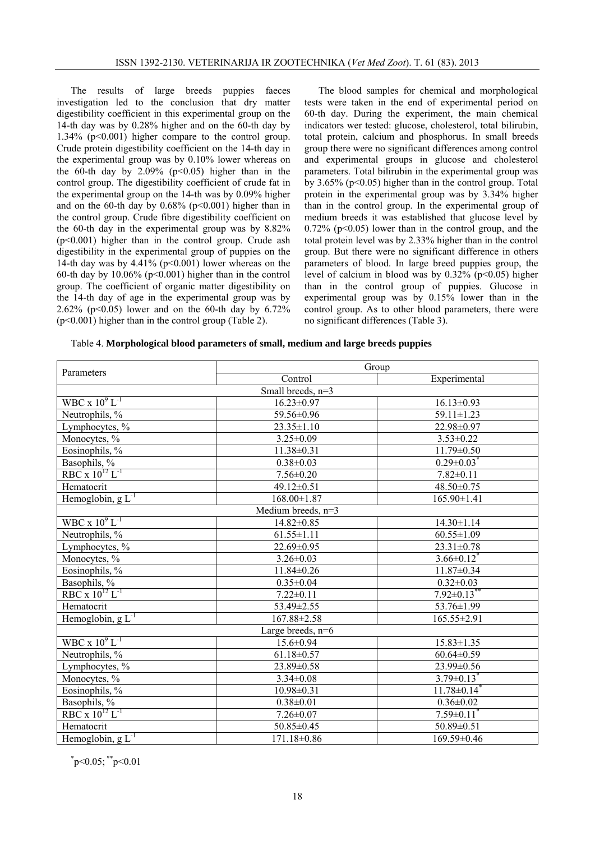The results of large breeds puppies faeces investigation led to the conclusion that dry matter digestibility coefficient in this experimental group on the 14-th day was by 0.28% higher and on the 60-th day by 1.34% (p<0.001) higher compare to the control group. Crude protein digestibility coefficient on the 14-th day in the experimental group was by 0.10% lower whereas on the 60-th day by  $2.09\%$  (p<0.05) higher than in the control group. The digestibility coefficient of crude fat in the experimental group on the 14-th was by 0.09% higher and on the 60-th day by  $0.68\%$  (p<0.001) higher than in the control group. Crude fibre digestibility coefficient on the 60-th day in the experimental group was by 8.82%  $(p<0.001)$  higher than in the control group. Crude ash digestibility in the experimental group of puppies on the 14-th day was by  $4.41\%$  (p<0.001) lower whereas on the 60-th day by  $10.06\%$  ( $p<0.001$ ) higher than in the control group. The coefficient of organic matter digestibility on the 14-th day of age in the experimental group was by 2.62% ( $p < 0.05$ ) lower and on the 60-th day by 6.72% (p<0.001) higher than in the control group (Table 2).

The blood samples for chemical and morphological tests were taken in the end of experimental period on 60-th day. During the experiment, the main chemical indicators wer tested: glucose, cholesterol, total bilirubin, total protein, calcium and phosphorus. In small breeds group there were no significant differences among control and experimental groups in glucose and cholesterol parameters. Total bilirubin in the experimental group was by  $3.65\%$  (p<0.05) higher than in the control group. Total protein in the experimental group was by 3.34% higher than in the control group. In the experimental group of medium breeds it was established that glucose level by  $0.72\%$  (p<0.05) lower than in the control group, and the total protein level was by 2.33% higher than in the control group. But there were no significant difference in others parameters of blood. In large breed puppies group, the level of calcium in blood was by  $0.32\%$  (p<0.05) higher than in the control group of puppies. Glucose in experimental group was by 0.15% lower than in the control group. As to other blood parameters, there were no significant differences (Table 3).

|  |  |  | Table 4. Morphological blood parameters of small, medium and large breeds puppies |
|--|--|--|-----------------------------------------------------------------------------------|
|  |  |  |                                                                                   |

|                                                   | Group              |                               |  |  |  |
|---------------------------------------------------|--------------------|-------------------------------|--|--|--|
| Parameters                                        | Control            | Experimental                  |  |  |  |
| Small breeds, $n=3$                               |                    |                               |  |  |  |
| WBC x $10^9$ L <sup>-1</sup>                      | $16.23 \pm 0.97$   | $16.13 \pm 0.93$              |  |  |  |
| Neutrophils, %                                    | 59.56±0.96         | $59.11 \pm 1.23$              |  |  |  |
| Lymphocytes, %                                    | $23.35 \pm 1.10$   | 22.98±0.97                    |  |  |  |
| Monocytes, %                                      | $3.25 \pm 0.09$    | $3.53 \pm 0.22$               |  |  |  |
| Eosinophils, %                                    | $11.38 \pm 0.31$   | $11.79 \pm 0.50$              |  |  |  |
| Basophils, %                                      | $0.38 \pm 0.03$    | $0.29 \pm 0.03$               |  |  |  |
| $RBC \times 10^{12} L^{-1}$                       | $7.56 \pm 0.20$    | $7.82 \pm 0.11$               |  |  |  |
| Hematocrit                                        | 49.12±0.51         | 48.50±0.75                    |  |  |  |
| Hemoglobin, $g L^{-1}$                            | $168.00 \pm 1.87$  | 165.90±1.41                   |  |  |  |
|                                                   | Medium breeds, n=3 |                               |  |  |  |
| WBC x $10^9$ L <sup>-1</sup>                      | 14.82±0.85         | $14.30 \pm 1.14$              |  |  |  |
| Neutrophils, %                                    | $61.55 \pm 1.11$   | $60.55 \pm 1.09$              |  |  |  |
| Lymphocytes, %                                    | $22.69 \pm 0.95$   | 23.31±0.78                    |  |  |  |
| Monocytes, %                                      | $3.26 \pm 0.03$    | $3.66 \pm 0.12$ <sup>*</sup>  |  |  |  |
| Eosinophils, $\frac{6}{6}$                        | $11.84 \pm 0.26$   | 11.87±0.34                    |  |  |  |
| Basophils, $\frac{\%}{RBC \times 10^{12} L^{-1}}$ | $0.35 \pm 0.04$    | $0.32 \pm 0.03$               |  |  |  |
|                                                   | $7.22 \pm 0.11$    | $7.92 \pm 0.13$ **            |  |  |  |
| Hematocrit                                        | 53.49±2.55         | 53.76±1.99                    |  |  |  |
| Hemoglobin, $g L^{-1}$                            | 167.88±2.58        | 165.55±2.91                   |  |  |  |
| Large breeds, n=6                                 |                    |                               |  |  |  |
| WBC $\rm x 10^9$ L <sup>-1</sup>                  | $15.6 \pm 0.94$    | $15.83 \pm 1.35$              |  |  |  |
| Neutrophils, %                                    | $61.18 \pm 0.57$   | $60.64 \pm 0.59$              |  |  |  |
| Lymphocytes, %                                    | $23.89 \pm 0.58$   | 23.99±0.56                    |  |  |  |
| Monocytes, %                                      | $3.34 \pm 0.08$    | $3.79 \pm 0.13$ <sup>*</sup>  |  |  |  |
| Eosinophils, %                                    | $10.98 \pm 0.31$   | $11.78 \pm 0.14$ <sup>*</sup> |  |  |  |
| Basophils, %                                      | $0.38 \pm 0.01$    | $0.36 \pm 0.02$               |  |  |  |
| $RBC \times 10^{12} L^{-1}$                       | $7.26 \pm 0.07$    | $7.59 \pm 0.11$               |  |  |  |
| Hematocrit                                        | 50.85±0.45         | 50.89±0.51                    |  |  |  |
| Hemoglobin, $g L^{-1}$                            | 171.18±0.86        | 169.59±0.46                   |  |  |  |

 $p<0.05$ ;  $p<0.01$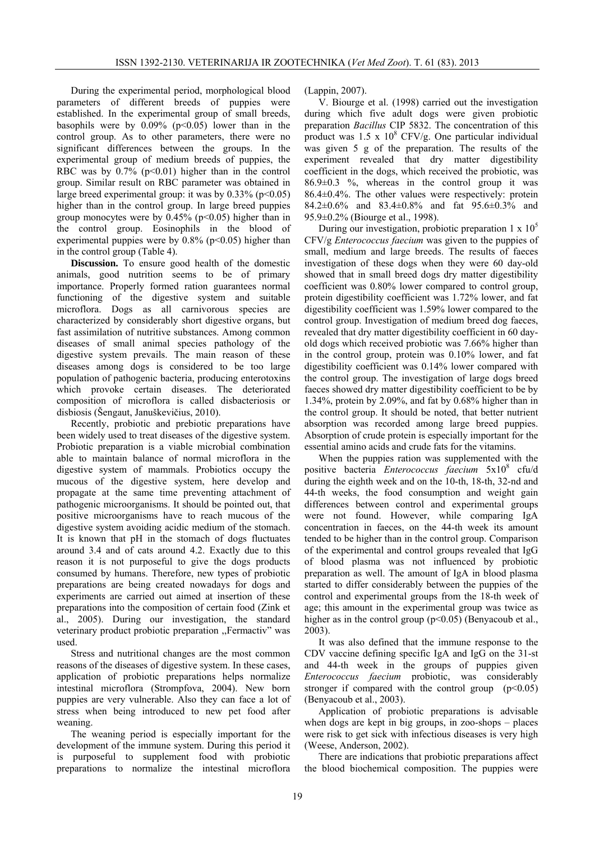During the experimental period, morphological blood parameters of different breeds of puppies were established. In the experimental group of small breeds, basophils were by  $0.09\%$  (p<0.05) lower than in the control group. As to other parameters, there were no significant differences between the groups. In the experimental group of medium breeds of puppies, the RBC was by  $0.7\%$  (p<0.01) higher than in the control group. Similar result on RBC parameter was obtained in large breed experimental group: it was by  $0.33\%$  (p<0.05) higher than in the control group. In large breed puppies group monocytes were by  $0.45\%$  (p<0.05) higher than in the control group. Eosinophils in the blood of experimental puppies were by  $0.8\%$  (p<0.05) higher than in the control group (Table 4).

**Discussion.** To ensure good health of the domestic animals, good nutrition seems to be of primary importance. Properly formed ration guarantees normal functioning of the digestive system and suitable microflora. Dogs as all carnivorous species are characterized by considerably short digestive organs, but fast assimilation of nutritive substances. Among common diseases of small animal species pathology of the digestive system prevails. The main reason of these diseases among dogs is considered to be too large population of pathogenic bacteria, producing enterotoxins which provoke certain diseases. The deteriorated composition of microflora is called disbacteriosis or disbiosis (Šengaut, Januškevičius, 2010).

Recently, probiotic and prebiotic preparations have been widely used to treat diseases of the digestive system. Probiotic preparation is a viable microbial combination able to maintain balance of normal microflora in the digestive system of mammals. Probiotics occupy the mucous of the digestive system, here develop and propagate at the same time preventing attachment of pathogenic microorganisms. It should be pointed out, that positive microorganisms have to reach mucous of the digestive system avoiding acidic medium of the stomach. It is known that pH in the stomach of dogs fluctuates around 3.4 and of cats around 4.2. Exactly due to this reason it is not purposeful to give the dogs products consumed by humans. Therefore, new types of probiotic preparations are being created nowadays for dogs and experiments are carried out aimed at insertion of these preparations into the composition of certain food (Zink et al., 2005). During our investigation, the standard veterinary product probiotic preparation ,,Fermactiv" was used.

Stress and nutritional changes are the most common reasons of the diseases of digestive system. In these cases, application of probiotic preparations helps normalize intestinal microflora (Strompfova, 2004). New born puppies are very vulnerable. Also they can face a lot of stress when being introduced to new pet food after weaning.

The weaning period is especially important for the development of the immune system. During this period it is purposeful to supplement food with probiotic preparations to normalize the intestinal microflora (Lappin, 2007).

V. Biourge et al. (1998) carried out the investigation during which five adult dogs were given probiotic preparation *Bacillus* CIP 5832. The concentration of this product was  $1.5 \times 10^8$  CFV/g. One particular individual was given 5 g of the preparation. The results of the experiment revealed that dry matter digestibility coefficient in the dogs, which received the probiotic, was  $86.9\pm0.3$  %, whereas in the control group it was 86.4±0.4%. The other values were respectively: protein 84.2±0.6% and 83.4±0.8% and fat 95.6±0.3% and 95.9±0.2% (Biourge et al., 1998).

During our investigation, probiotic preparation  $1 \times 10^5$ CFV/g *Enterococcus faecium* was given to the puppies of small, medium and large breeds. The results of faeces investigation of these dogs when they were 60 day-old showed that in small breed dogs dry matter digestibility coefficient was 0.80% lower compared to control group, protein digestibility coefficient was 1.72% lower, and fat digestibility coefficient was 1.59% lower compared to the control group. Investigation of medium breed dog faeces, revealed that dry matter digestibility coefficient in 60 dayold dogs which received probiotic was 7.66% higher than in the control group, protein was 0.10% lower, and fat digestibility coefficient was 0.14% lower compared with the control group. The investigation of large dogs breed faeces showed dry matter digestibility coefficient to be by 1.34%, protein by 2.09%, and fat by 0.68% higher than in the control group. It should be noted, that better nutrient absorption was recorded among large breed puppies. Absorption of crude protein is especially important for the essential amino acids and crude fats for the vitamins.

When the puppies ration was supplemented with the positive bacteria *Enterococcus faecium* 5x10<sup>8</sup> cfu/d during the eighth week and on the 10-th, 18-th, 32-nd and 44-th weeks, the food consumption and weight gain differences between control and experimental groups were not found. However, while comparing IgA concentration in faeces, on the 44-th week its amount tended to be higher than in the control group. Comparison of the experimental and control groups revealed that IgG of blood plasma was not influenced by probiotic preparation as well. The amount of IgA in blood plasma started to differ considerably between the puppies of the control and experimental groups from the 18-th week of age; this amount in the experimental group was twice as higher as in the control group  $(p<0.05)$  (Benyacoub et al., 2003).

It was also defined that the immune response to the CDV vaccine defining specific IgA and IgG on the 31-st and 44-th week in the groups of puppies given *Enterococcus faecium* probiotic, was considerably stronger if compared with the control group  $(p<0.05)$ (Benyacoub et al., 2003).

Application of probiotic preparations is advisable when dogs are kept in big groups, in zoo-shops – places were risk to get sick with infectious diseases is very high (Weese, Anderson, 2002).

There are indications that probiotic preparations affect the blood biochemical composition. The puppies were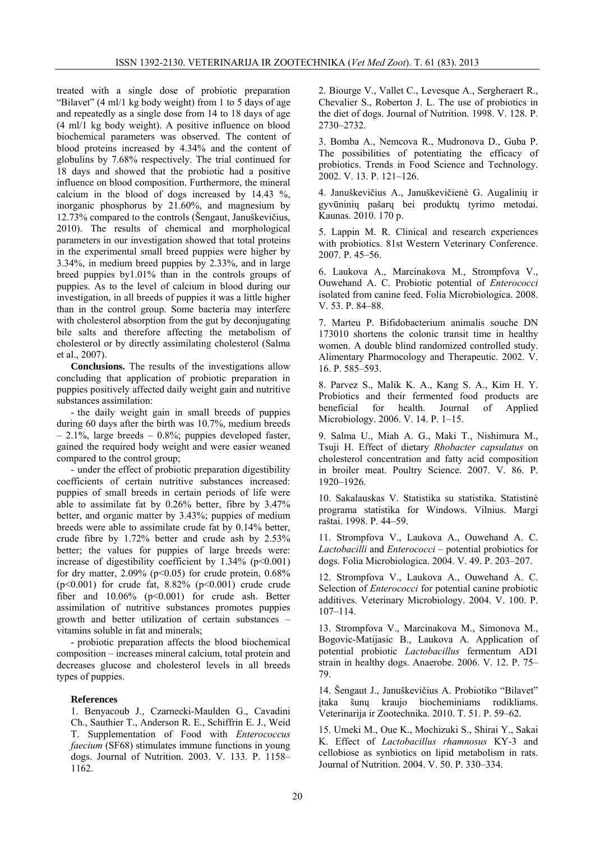treated with a single dose of probiotic preparation "Bilavet" (4 ml/1 kg body weight) from 1 to 5 days of age and repeatedly as a single dose from 14 to 18 days of age (4 ml/1 kg body weight). A positive influence on blood biochemical parameters was observed. The content of blood proteins increased by 4.34% and the content of globulins by 7.68% respectively. The trial continued for 18 days and showed that the probiotic had a positive influence on blood composition. Furthermore, the mineral calcium in the blood of dogs increased by 14.43 %, inorganic phosphorus by 21.60%, and magnesium by 12.73% compared to the controls (Šengaut, Januškevičius, 2010). The results of chemical and morphological parameters in our investigation showed that total proteins in the experimental small breed puppies were higher by 3.34%, in medium breed puppies by 2.33%, and in large breed puppies by1.01% than in the controls groups of puppies. As to the level of calcium in blood during our investigation, in all breeds of puppies it was a little higher than in the control group. Some bacteria may interfere with cholesterol absorption from the gut by deconjugating bile salts and therefore affecting the metabolism of cholesterol or by directly assimilating cholesterol (Salma et al., 2007).

**Conclusions.** The results of the investigations allow concluding that application of probiotic preparation in puppies positively affected daily weight gain and nutritive substances assimilation:

- the daily weight gain in small breeds of puppies during 60 days after the birth was 10.7%, medium breeds – 2.1%, large breeds – 0.8%; puppies developed faster, gained the required body weight and were easier weaned compared to the control group;

- under the effect of probiotic preparation digestibility coefficients of certain nutritive substances increased: puppies of small breeds in certain periods of life were able to assimilate fat by 0.26% better, fibre by 3.47% better, and organic matter by 3.43%; puppies of medium breeds were able to assimilate crude fat by 0.14% better, crude fibre by 1.72% better and crude ash by 2.53% better; the values for puppies of large breeds were: increase of digestibility coefficient by  $1.34\%$  (p<0.001) for dry matter,  $2.09\%$  (p<0.05) for crude protein,  $0.68\%$  $(p<0.001)$  for crude fat, 8.82%  $(p<0.001)$  crude crude fiber and  $10.06\%$  ( $p<0.001$ ) for crude ash. Better assimilation of nutritive substances promotes puppies growth and better utilization of certain substances – vitamins soluble in fat and minerals;

- probiotic preparation affects the blood biochemical composition – increases mineral calcium, total protein and decreases glucose and cholesterol levels in all breeds types of puppies.

#### **References**

1. Benyacoub J., Czarnecki-Maulden G., Cavadini Ch., Sauthier T., Anderson R. E., Schiffrin E. J., Weid T. Supplementation of Food with *Enterococcus faecium* (SF68) stimulates immune functions in young dogs. Journal of Nutrition. 2003. V. 133. P. 1158– 1162.

2. Biourge V., Vallet C., Levesque A., Sergheraert R., Chevalier S., Roberton J. L. The use of probiotics in the diet of dogs. Journal of Nutrition. 1998. V. 128. P. 2730–2732.

3. Bomba A., Nemcova R., Mudronova D., Guba P. The possibilities of potentiating the efficacy of probiotics. Trends in Food Science and Technology. 2002. V. 13. P. 121–126.

4. Januškevičius A., Januškevičienė G. Augalinių ir gyvūninių pašarų bei produktų tyrimo metodai. Kaunas. 2010. 170 p.

5. Lappin M. R. Clinical and research experiences with probiotics. 81st Western Veterinary Conference. 2007. P. 45–56.

6. Laukova A., Marcinakova M., Strompfova V., Ouwehand A. C. Probiotic potential of *Enterococci*  isolated from canine feed. Folia Microbiologica. 2008. V. 53. P. 84–88.

7. Marteu P. Bifidobacterium animalis souche DN 173010 shortens the colonic transit time in healthy women. A double blind randomized controlled study. Alimentary Pharmocology and Therapeutic. 2002. V. 16. P. 585–593.

8. Parvez S., Malik K. A., Kang S. A., Kim H. Y. Probiotics and their fermented food products are beneficial for health. Journal of Applied Microbiology. 2006. V. 14. P. 1–15.

9. Salma U., Miah A. G., Maki T., Nishimura M., Tsuji H. Effect of dietary *Rhobacter capsulatus* on cholesterol concentration and fatty acid composition in broiler meat. Poultry Science. 2007. V. 86. P. 1920–1926.

10. Sakalauskas V. Statistika su statistika. Statistinė programa statistika for Windows. Vilnius. Margi raštai. 1998. P. 44–59.

11. Strompfova V., Laukova A., Ouwehand A. C. *Lactobacilli* and *Enterococci* – potential probiotics for dogs. Folia Microbiologica. 2004. V. 49. P. 203–207.

12. Strompfova V., Laukova A., Ouwehand A. C. Selection of *Enterococci* for potential canine probiotic additives. Veterinary Microbiology. 2004. V. 100. P. 107–114.

13. Strompfova V., Marcinakova M., Simonova M., Bogovic-Matijasic B., Laukova A. Application of potential probiotic *Lactobacillus* fermentum AD1 strain in healthy dogs. Anaerobe. 2006. V. 12. P. 75– 79.

14. Šengaut J., Januškevičius A. Probiotiko "Bilavet" įtaka šunų kraujo biocheminiams rodikliams. Veterinarija ir Zootechnika. 2010. T. 51. P. 59–62.

15. Umeki M., Oue K., Mochizuki S., Shirai Y., Sakai K. Effect of *Lactobacillus rhamnosus* KY-3 and cellobiose as synbiotics on lipid metabolism in rats. Journal of Nutrition. 2004. V. 50. P. 330–334.